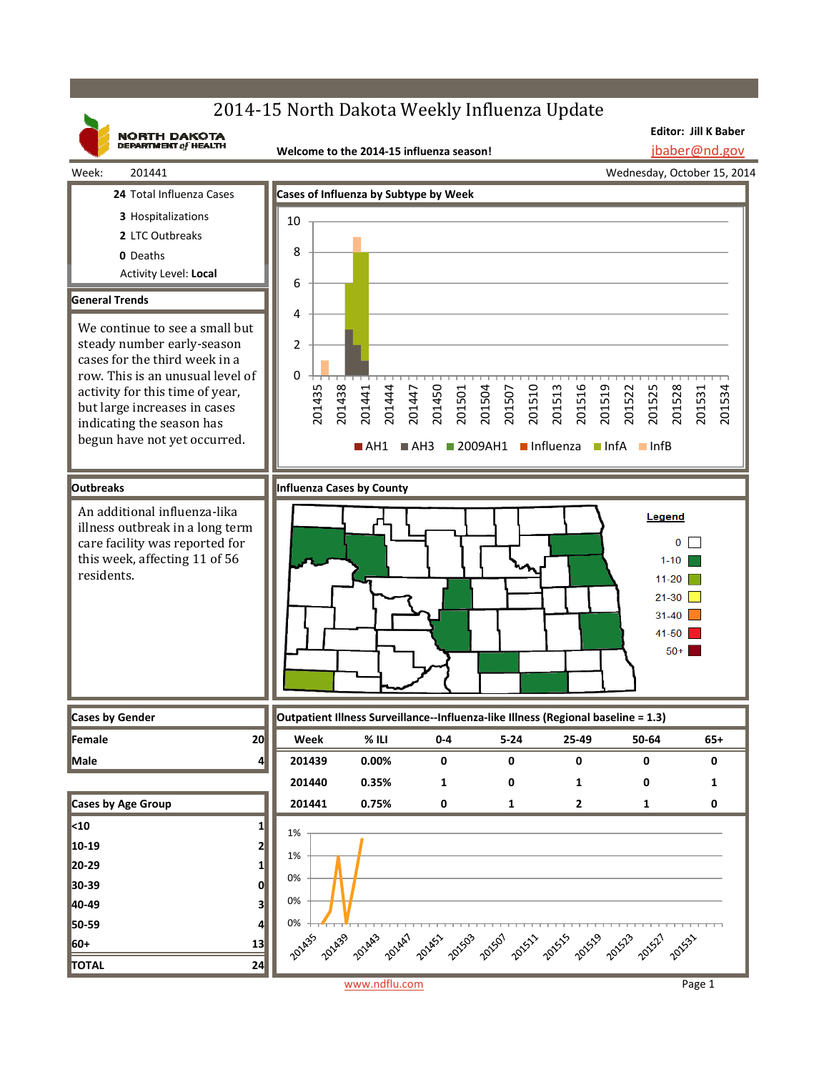